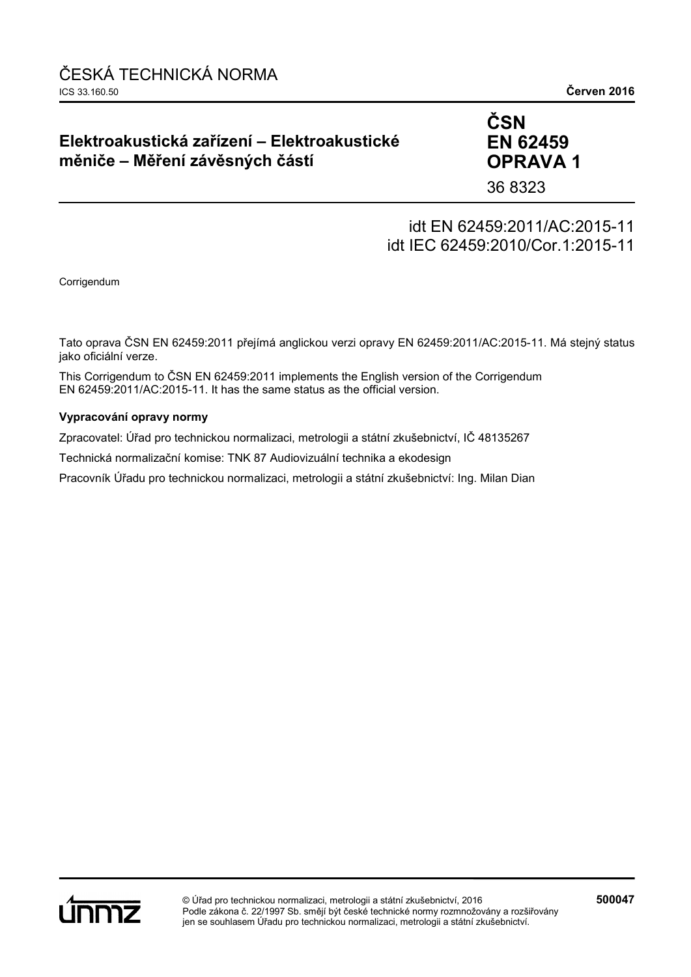## **Elektroakustická zařízení – Elektroakustické měniče – Měření závěsných částí**

**ČSN EN 62459 OPRAVA 1**

36 8323

## idt EN 62459:2011/AC:2015-11 idt IEC 62459:2010/Cor.1:2015-11

Corrigendum

Tato oprava ČSN EN 62459:2011 přejímá anglickou verzi opravy EN 62459:2011/AC:2015-11. Má stejný status jako oficiální verze.

This Corrigendum to ČSN EN 62459:2011 implements the English version of the Corrigendum EN 62459:2011/AC:2015-11. It has the same status as the official version.

#### **Vypracování opravy normy**

Zpracovatel: Úřad pro technickou normalizaci, metrologii a státní zkušebnictví, IČ 48135267

Technická normalizační komise: TNK 87 Audiovizuální technika a ekodesign

Pracovník Úřadu pro technickou normalizaci, metrologii a státní zkušebnictví: Ing. Milan Dian

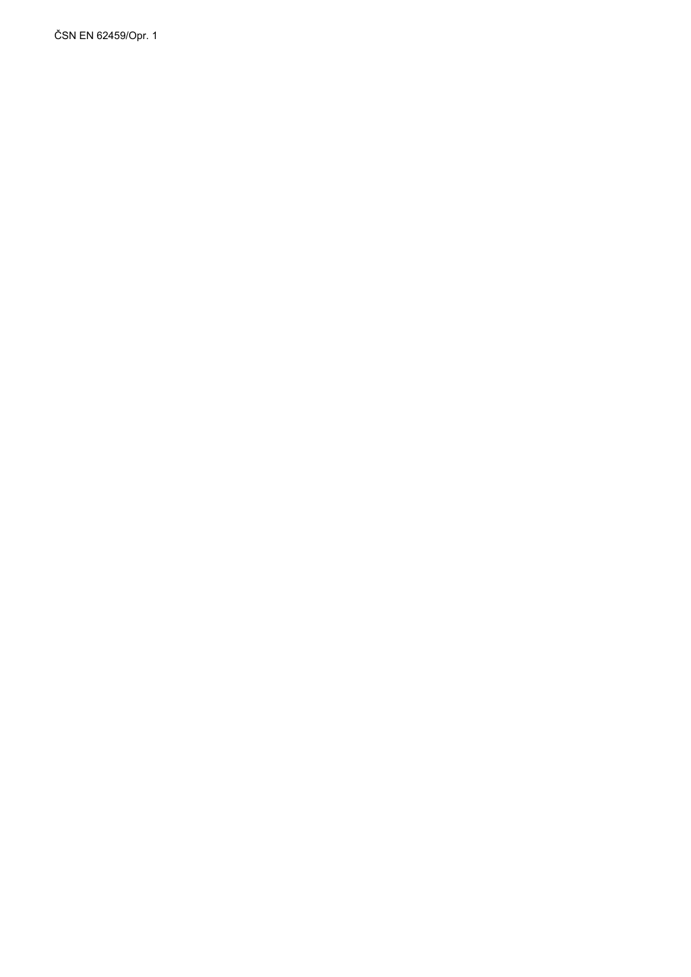ČSN EN 62459/Opr. 1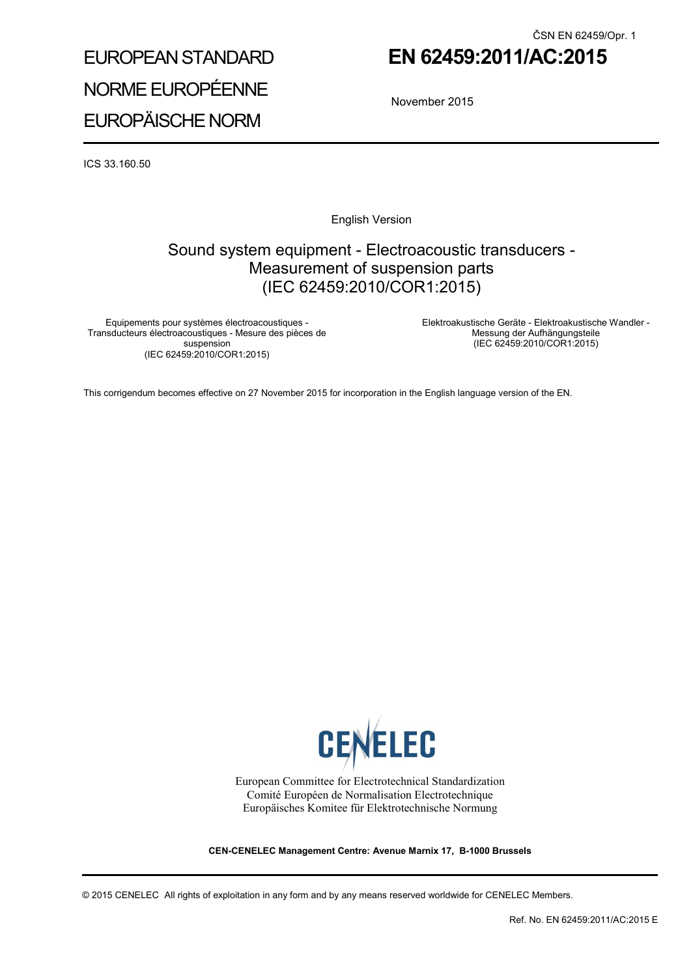# EUROPEAN STANDARD NORME EUROPÉENNE EUROPÄISCHE NORM



November 2015

ICS 33.160.50

English Version

## Sound system equipment - Electroacoustic transducers - Measurement of suspension parts (IEC 62459:2010/COR1:2015)

Equipements pour systèmes électroacoustiques - Transducteurs électroacoustiques - Mesure des pièces de suspension (IEC 62459:2010/COR1:2015)

 Elektroakustische Geräte - Elektroakustische Wandler - Messung der Aufhängungsteile (IEC 62459:2010/COR1:2015)

This corrigendum becomes effective on 27 November 2015 for incorporation in the English language version of the EN.



European Committee for Electrotechnical Standardization Comité Européen de Normalisation Electrotechnique Europäisches Komitee für Elektrotechnische Normung

**CEN-CENELEC Management Centre: Avenue Marnix 17, B-1000 Brussels** 

© 2015 CENELEC All rights of exploitation in any form and by any means reserved worldwide for CENELEC Members.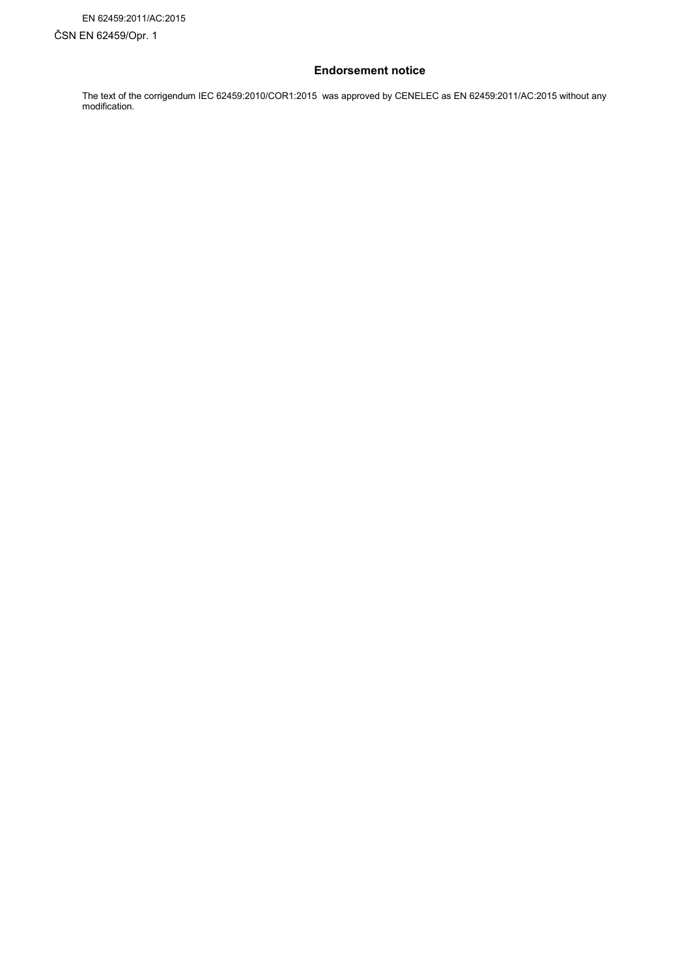EN 62459:2011/AC:2015

ČSN EN 62459/Opr. 1

## **Endorsement notice**

The text of the corrigendum IEC 62459:2010/COR1:2015 was approved by CENELEC as EN 62459:2011/AC:2015 without any modification.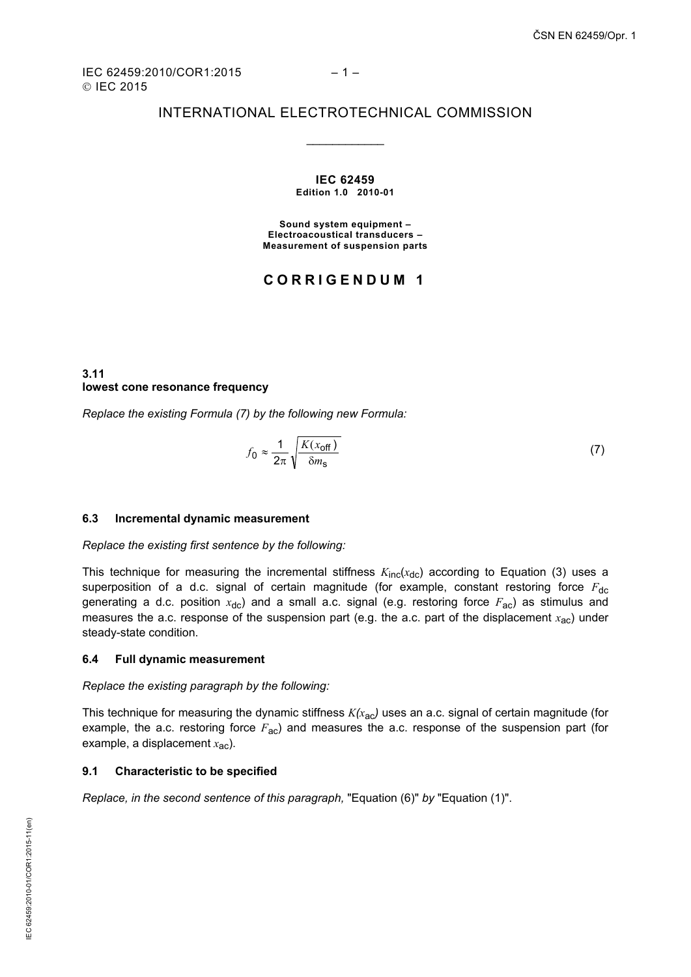## INTERNATIONAL ELECTROTECHNICAL COMMISSION

\_\_\_\_\_\_\_\_\_\_\_\_

#### **IEC 62459 Edition 1.0 2010-01**

**Sound system equipment – Electroacoustical transducers – Measurement of suspension parts**

## **CORRIGENDUM 1**

#### **3.11 lowest cone resonance frequency**

*Replace the existing Formula (7) by the following new Formula:*

$$
f_0 \approx \frac{1}{2\pi} \sqrt{\frac{K(x_{\text{off}})}{\delta m_{\text{s}}}}
$$
 (7)

#### **6.3 Incremental dynamic measurement**

#### *Replace the existing first sentence by the following:*

This technique for measuring the incremental stiffness  $K_{\text{inc}}(x_{\text{dc}})$  according to Equation (3) uses a superposition of a d.c. signal of certain magnitude (for example, constant restoring force  $F_{\text{dc}}$ generating a d.c. position *x*dc) and a small a.c. signal (e.g. restoring force *F*ac) as stimulus and measures the a.c. response of the suspension part (e.g. the a.c. part of the displacement *x*ac) under steady-state condition.

### **6.4 Full dynamic measurement**

*Replace the existing paragraph by the following:*

This technique for measuring the dynamic stiffness *K(x*ac*)* uses an a.c. signal of certain magnitude (for example, the a.c. restoring force *F*ac) and measures the a.c. response of the suspension part (for example, a displacement *x*ac).

### **9.1 Characteristic to be specified**

*Replace, in the second sentence of this paragraph,* "Equation (6)" *by* "Equation (1)".